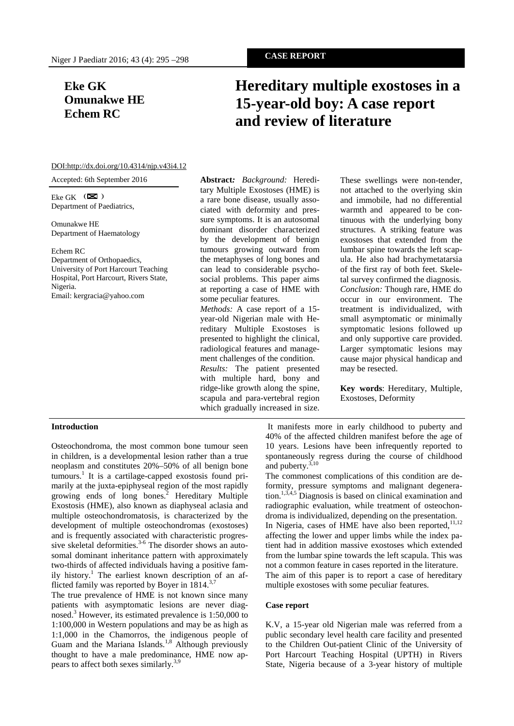## **Eke GK Omunakwe HE Echem RC**

# **Hereditary multiple exostoses in a 15-year-old boy: A case report and review of literature**

#### DOI:http://dx.doi.org/10.4314/njp.v43i4.12

Accepted: 6th September 2016

Eke GK  $\left( \blacksquare \right)$ Department of Paediatrics,

Omunakwe HE Department of Haematology

#### Echem RC

Department of Orthopaedics, University of Port Harcourt Teaching Hospital, Port Harcourt, Rivers State, Nigeria. Email: kergracia@yahoo.com

## **Abstract***: Background:* Hereditary Multiple Exostoses (HME) is a rare bone disease, usually associated with deformity and pressure symptoms. It is an autosomal dominant disorder characterized by the development of benign tumours growing outward from the metaphyses of long bones and can lead to considerable psychosocial problems. This paper aims at reporting a case of HME with some peculiar features. *Methods:* A case report of a 15 year-old Nigerian male with Hereditary Multiple Exostoses is presented to highlight the clinical, radiological features and management challenges of the condition. *Results:* The patient presented with multiple hard, bony and ridge-like growth along the spine, scapula and para-vertebral region which gradually increased in size.

These swellings were non-tender, not attached to the overlying skin and immobile, had no differential warmth and appeared to be continuous with the underlying bony structures. A striking feature was exostoses that extended from the lumbar spine towards the left scapula. He also had brachymetatarsia of the first ray of both feet. Skeletal survey confirmed the diagnosis. *Conclusion:* Though rare, HME do occur in our environment. The treatment is individualized, with small asymptomatic or minimally symptomatic lesions followed up and only supportive care provided. Larger symptomatic lesions may cause major physical handicap and may be resected.

**Key words**: Hereditary, Multiple, Exostoses, Deformity

## **Introduction**

Osteochondroma, the most common bone tumour seen in children, is a developmental lesion rather than a true neoplasm and constitutes 20%–50% of all benign bone tumours.<sup>1</sup> It is a cartilage-capped exostosis found primarily at the juxta-epiphyseal region of the most rapidly growing ends of long bones.<sup>2</sup> Hereditary Multiple Exostosis (HME), also known as diaphyseal aclasia and multiple osteochondromatosis, is characterized by the development of multiple osteochondromas (exostoses) and is frequently associated with characteristic progressive skeletal deformities.<sup>3-6</sup> The disorder shows an autosomal dominant inheritance pattern with approximately two-thirds of affected individuals having a positive family history.<sup>1</sup> The earliest known description of an afflicted family was reported by Boyer in  $1814$ .<sup>3,7</sup>

The true prevalence of HME is not known since many patients with asymptomatic lesions are never diagnosed.<sup>3</sup> However, its estimated prevalence is 1:50,000 to 1:100,000 in Western populations and may be as high as 1:1,000 in the Chamorros, the indigenous people of Guam and the Mariana Islands.<sup>1,8</sup> Although previously thought to have a male predominance, HME now appears to affect both sexes similarly.3,9

It manifests more in early childhood to puberty and 40% of the affected children manifest before the age of 10 years. Lesions have been infrequently reported to spontaneously regress during the course of childhood and puberty.<sup>3,10</sup>

The commonest complications of this condition are deformity, pressure symptoms and malignant degeneration.<sup>1,3,4,5</sup> Diagnosis is based on clinical examination and radiographic evaluation, while treatment of osteochondroma is individualized, depending on the presentation. In Nigeria, cases of HME have also been reported,<sup>11,12</sup> affecting the lower and upper limbs while the index patient had in addition massive exostoses which extended from the lumbar spine towards the left scapula. This was not a common feature in cases reported in the literature. The aim of this paper is to report a case of hereditary multiple exostoses with some peculiar features.

#### **Case report**

K.V, a 15-year old Nigerian male was referred from a public secondary level health care facility and presented to the Children Out-patient Clinic of the University of Port Harcourt Teaching Hospital (UPTH) in Rivers State, Nigeria because of a 3-year history of multiple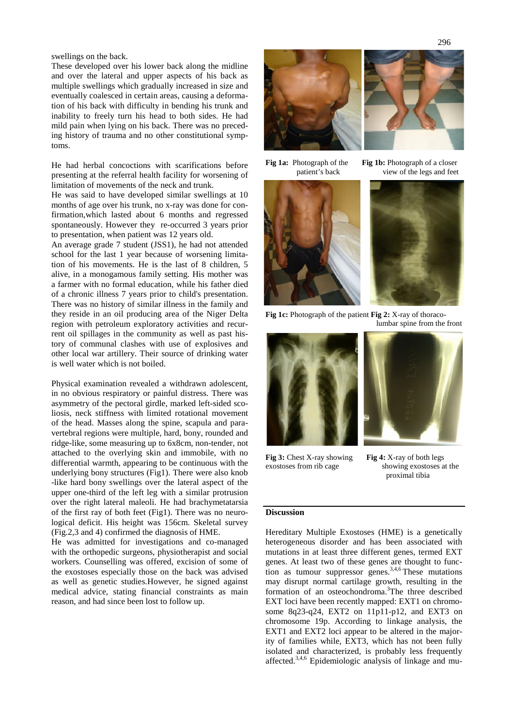swellings on the back.

These developed over his lower back along the midline and over the lateral and upper aspects of his back as multiple swellings which gradually increased in size and eventually coalesced in certain areas, causing a deformation of his back with difficulty in bending his trunk and inability to freely turn his head to both sides. He had mild pain when lying on his back. There was no preceding history of trauma and no other constitutional symptoms.

He had herbal concoctions with scarifications before Fig 1a: Photograph of the presenting at the referral health facility for worsening of limitation of movements of the neck and trunk.

He was said to have developed similar swellings at 10 months of age over his trunk, no x-ray was done for confirmation,which lasted about 6 months and regressed spontaneously. However they re-occurred 3 years prior to presentation, when patient was 12 years old.

An average grade 7 student (JSS1), he had not attended school for the last 1 year because of worsening limitation of his movements. He is the last of 8 children, 5 alive, in a monogamous family setting. His mother was a farmer with no formal education, while his father died of a chronic illness 7 years prior to child's presentation. There was no history of similar illness in the family and they reside in an oil producing area of the Niger Delta region with petroleum exploratory activities and recurrent oil spillages in the community as well as past history of communal clashes with use of explosives and other local war artillery. Their source of drinking water is well water which is not boiled.

Physical examination revealed a withdrawn adolescent, in no obvious respiratory or painful distress. There was asymmetry of the pectoral girdle, marked left-sided scoliosis, neck stiffness with limited rotational movement of the head. Masses along the spine, scapula and para vertebral regions were multiple, hard, bony, rounded and ridge-like, some measuring up to 6x8cm, non-tender, not attached to the overlying skin and immobile, with no differential warmth, appearing to be continuous with the  $\frac{H_{\rm g}}{\rm exostoses}$  from rib cage underlying bony structures (Fig1). There were also knob -like hard bony swellings over the lateral aspect of the upper one-third of the left leg with a similar protrusion over the right lateral maleoli. He had brachymetatarsia of the first ray of both feet (Fig1). There was no neurological deficit. His height was 156cm. Skeletal survey (Fig.2,3 and 4) confirmed the diagnosis of HME.

He was admitted for investigations and co-managed with the orthopedic surgeons, physiotherapist and social workers. Counselling was offered, excision of some of the exostoses especially those on the back was advised as well as genetic studies.However, he signed against medical advice, stating financial constraints as main reason, and had since been lost to follow up.





**Fig 1b:** Photograph of a closer patient's back view of the legs and feet





**Fig 1c:** Photograph of the patient **Fig 2:** X-ray of thoracolumbar spine from the front





**Fig 3:** Chest X-ray showing **Fig 4:** X-ray of both legs

showing exostoses at the proximal tibia

### **Discussion**

Hereditary Multiple Exostoses (HME) is a genetically heterogeneous disorder and has been associated with mutations in at least three different genes, termed EXT genes. At least two of these genes are thought to function as tumour suppressor genes. $3,4,6$  These mutations may disrupt normal cartilage growth, resulting in the formation of an osteochondroma.<sup>3</sup>The three described EXT loci have been recently mapped: EXT1 on chromosome 8q23-q24, EXT2 on 11p11-p12, and EXT3 on chromosome 19p. According to linkage analysis, the EXT1 and EXT2 loci appear to be altered in the majority of families while, EXT3, which has not been fully isolated and characterized, is probably less frequently affected.3,4,6 Epidemiologic analysis of linkage and mu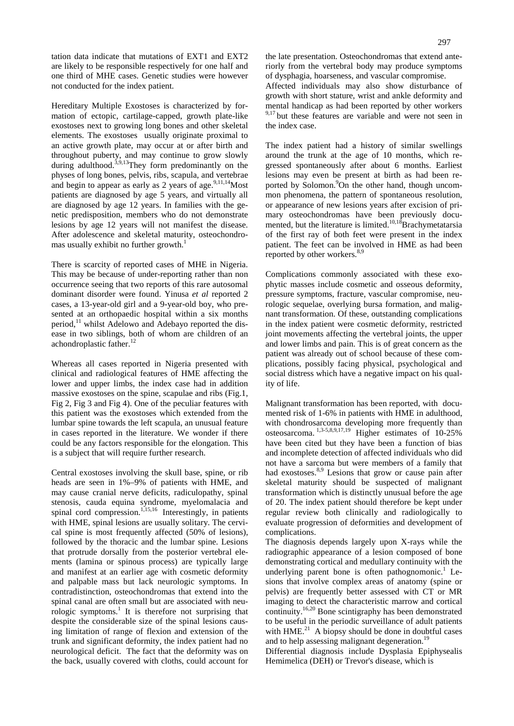tation data indicate that mutations of EXT1 and EXT2 are likely to be responsible respectively for one half and one third of MHE cases. Genetic studies were however not conducted for the index patient.

Hereditary Multiple Exostoses is characterized by formation of ectopic, cartilage-capped, growth plate-like exostoses next to growing long bones and other skeletal elements. The exostoses usually originate proximal to an active growth plate, may occur at or after birth and throughout puberty, and may continue to grow slowly during adulthood.<sup>3,9,13</sup>They form predominantly on the gre physes of long bones, pelvis, ribs, scapula, and vertebrae and begin to appear as early as 2 years of age.  $9,11,14$ Most patients are diagnosed by age 5 years, and virtually all are diagnosed by age 12 years. In families with the genetic predisposition, members who do not demonstrate lesions by age 12 years will not manifest the disease. After adolescence and skeletal maturity, osteochondromas usually exhibit no further growth.<sup>1</sup>

There is scarcity of reported cases of MHE in Nigeria. This may be because of under-reporting rather than non occurrence seeing that two reports of this rare autosomal dominant disorder were found. Yinusa *et al* reported 2 cases, a 13-year-old girl and a 9-year-old boy, who presented at an orthopaedic hospital within a six months period, $^{11}$  whilst Adelowo and Adebayo reported the disease in two siblings, both of whom are children of an achondroplastic father.<sup>12</sup>

Whereas all cases reported in Nigeria presented with clinical and radiological features of HME affecting the lower and upper limbs, the index case had in addition massive exostoses on the spine, scapulae and ribs (Fig.1, Fig 2, Fig 3 and Fig 4). One of the peculiar features with this patient was the exostoses which extended from the lumbar spine towards the left scapula, an unusual feature in cases reported in the literature. We wonder if there could be any factors responsible for the elongation. This is a subject that will require further research.

Central exostoses involving the skull base, spine, or rib heads are seen in 1%–9% of patients with HME, and may cause cranial nerve deficits, radiculopathy, spinal stenosis, cauda equina syndrome, myelomalacia and spinal cord compression.<sup>1,15,16</sup> Interestingly, in patients with HME, spinal lesions are usually solitary. The cervical spine is most frequently affected (50% of lesions), followed by the thoracic and the lumbar spine. Lesions that protrude dorsally from the posterior vertebral elements (lamina or spinous process) are typically large and manifest at an earlier age with cosmetic deformity and palpable mass but lack neurologic symptoms. In contradistinction, osteochondromas that extend into the spinal canal are often small but are associated with neurologic symptoms.<sup>1</sup> It is therefore not surprising that despite the considerable size of the spinal lesions causing limitation of range of flexion and extension of the trunk and significant deformity, the index patient had no neurological deficit. The fact that the deformity was on the back, usually covered with cloths, could account for

Affected individuals may also show disturbance of growth with short stature, wrist and ankle deformity and mental handicap as had been reported by other workers  $9,17$  but these features are variable and were not seen in the index case.

The index patient had a history of similar swellings around the trunk at the age of 10 months, which regressed spontaneously after about 6 months. Earliest lesions may even be present at birth as had been reported by Solomon.<sup>9</sup>On the other hand, though uncommon phenomena, the pattern of spontaneous resolution, or appearance of new lesions years after excision of primary osteochondromas have been previously documented, but the literature is limited.<sup>10,18</sup>Brachymetatarsia of the first ray of both feet were present in the index patient. The feet can be involved in HME as had been reported by other workers.<sup>8,9</sup>

Complications commonly associated with these exophytic masses include cosmetic and osseous deformity, pressure symptoms, fracture, vascular compromise, neurologic sequelae, overlying bursa formation, and malignant transformation. Of these, outstanding complications in the index patient were cosmetic deformity, restricted joint movements affecting the vertebral joints, the upper and lower limbs and pain. This is of great concern as the patient was already out of school because of these complications, possibly facing physical, psychological and social distress which have a negative impact on his quality of life.

Malignant transformation has been reported, with documented risk of 1-6% in patients with HME in adulthood, with chondrosarcoma developing more frequently than osteosarcoma. 1,3-5,8,9,17,19 Higher estimates of 10-25% have been cited but they have been a function of bias and incomplete detection of affected individuals who did not have a sarcoma but were members of a family that had exostoses. $8,9$  Lesions that grow or cause pain after skeletal maturity should be suspected of malignant transformation which is distinctly unusual before the age of 20. The index patient should therefore be kept under regular review both clinically and radiologically to evaluate progression of deformities and development of complications.

The diagnosis depends largely upon X-rays while the radiographic appearance of a lesion composed of bone demonstrating cortical and medullary continuity with the underlying parent bone is often pathognomonic.<sup>1</sup> Lesions that involve complex areas of anatomy (spine or pelvis) are frequently better assessed with CT or MR imaging to detect the characteristic marrow and cortical continuity.16,20 Bone scintigraphy has been demonstrated to be useful in the periodic surveillance of adult patients with  $HME<sup>21</sup>$  A biopsy should be done in doubtful cases and to help assessing malignant degeneration.<sup>19</sup>

Differential diagnosis include Dysplasia Epiphysealis Hemimelica (DEH) or Trevor's disease, which is